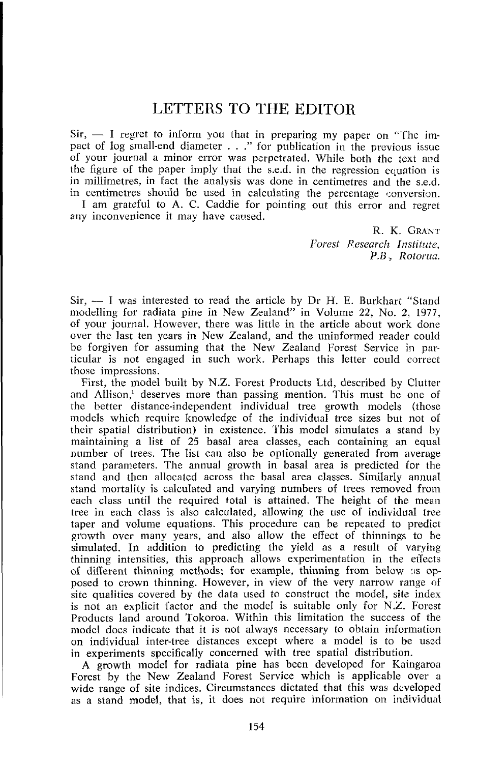## LETTERS TO THE EDITOR

 $Sir, - I$  regret to inform you that in preparing my paper on "The impact of log small-end diameter . . ." for publication in the previous issue of your journal a minor error was perpetrated. While both the text and the figure of the paper imply that the s.e.d. in the regression ccjuation is in millimetres, in fact the analysis was done in centimetres and the s.e.d. in centimetres should be used in calculating the percentage conversion.

I am grateful to A. C. Caddie for pointing out this error and regret any inconvenience it may have caused.

> R. *K. GRANT*  Forest Research Institute, *P.6, Rolorua.*

 $Sir, - I$  was interested to read the article by Dr H. E. Burkhart "Stand modelling for radiata pine in Vew Zealand" in Volume 22, No. 2, 1977, of your journal. However, there was little in the article about work done over the last ten years in New Zealand, and the uninformed reader could be forgiven for assuming that the New Zealand Forest Service in particular is not engaged in such work. Perhaps this letter could rorrcct those impressions.

First, the model built by N.Z. Forest Products Ltd, described by Clutter and Allison,' deserves more than passing mention. This must be one of the hetter distance-independent individual tree growth models (those models which require knowledge of the individual tree sizes but not of their spatial distribution) in existence. This. model simulates a stand by maintaining a list of 25 basal area classes, each containing an equal number of trees. The list can also be optionally generated from average stand parameters. The annual growth in basal area is predicted for the stand and then allocated across the basal area classes. Similarly annual stand mortality is calculated and varying numbers of trees removed from each class until the required total is attained. The height of the mean tree in each class is also calculated, allowing the use of individual tree taper and volume equations. This procedure can be repeated to predict growth over many years, and also allow the effect of thinnings to be simulated. In addition to predicting the yield as a result of varying thinning intensities, this approach allows experimentation in the effects of different thinning methods; for example, thinning from below as opposed to crown thinning. However, in view of the very narrow range of site qualities covered by the data used to construct the model, site index is not an explicit factor and the model is suitable only for N.Z. Forest Products land around Tokoroa. Within this limitation the success of the modcl does indicate that it is not always necessary to obtain information on individual inter-tree distances except where a model is to be used in experiments specifically concerned with tree spatial distribution.

**A** growth model for radiata pine has been developed for Kaingaroa Forest by the New Zealand Forest Service which is applicable over a wide range of site indices. Circumstances dictated that this was developed as a stand model, that is, it does not require information on individual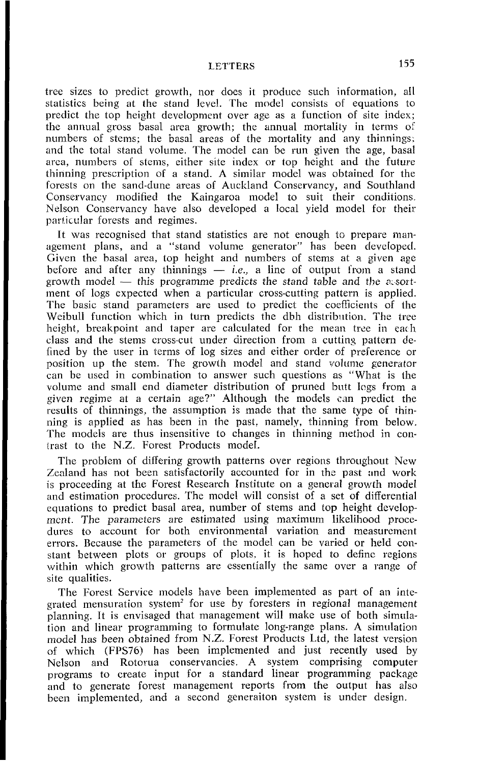**LETTERS** 155

tree sizes to predict growth, nor does it produce such information, all statistics being at the stand level. The model consists of equations to predict the top height development over age as a function of site index; the annual gross basal area growth; the annual mortality in terms of numbers of stems; the basal areas of the mortality and any thinnings. and the total stand volume. The model can be run given the age, basal area, numbers of stems, either site mdex or top height and the future thinning prescription of a stand. A similar model was obtained for the forests on the sand-dune areas of Auckland Conservancy, and Southland Conservancy modified the Kaingaroa model to suit their conditions Nelson Conservancy have also developed a local yield model for their particular forests and regimes.

It was recognised that stand statistics are not enough to prepare management plans, and a "stand volume generator" has been developed. Given the basal area, top height and numbers of stems at a given age agement plans, and a "stand volume generator" has been developed.<br>Given the basal area, top height and numbers of stems at a given age<br>before and after any thinnings - *i.e.*, a line of output from a stand<br>gravith model th Given the basal area, top height and numbers of stems at a given age<br>before and after any thinnings — *i.e.*, a line of output from a stand<br>growth model — this programme predicts the stand table and the exort-<br>montral clo ment of logs expected when a particular cross-cutting pattern is applied. The basic stand parameters are used to predict the coefficients of the Weibull function which in turn predicts the dbh distribution. The tree height, breakpoint and taper are calculated for the mean tree in each class and the stems cross-cut under direction from a cutting pattern defined by the user in terms of log sizes and either order of preference or position up the stem. The growth model and stand volume generator can be used in combination to answer such questions as "What is the volume and small end diameter distribution of pruned butt logs from a given regime at a certain age?" Although the models can predict the results of thinnings, the assumption is madc that the same type of thinning is applied as has been in the pasl. namely, thinning from below. The models are thus insensitive to changes in thinning method in contrast to the N.Z. Forest Products model.

The problem of differing growth patterns over regions throughout New Zealand has not been satisfactorily accounted for in the past and work is proceeding at the Forest Research Institute on a general growth model and estimation procedures. The model will consist of a set of differential equations to predict basal area, number of stems and top height developmcnt. The parameters are estimated using maximum likelihood procedures to account for both environmental variation and measurement errors. Because the parameters of the model can be varied or held constant between plots or groups of plots. it is hoped to definc regions within which growth patterns are essentially the same over a range of site qualities.

The Forest Service models have been implemented as part of an integrated mensuration system<sup>2</sup> for use by foresters in regional management planning. It is envisaged that management will make use of both simulation and linear programming to formulate long-range plans. A simulation model has been obtained from N.Z. Forest Products Ltd, the latest version of which (FPS76) has been implemented and just recently used by Nelson and Rotorua conservancies. A system comprising computer programs to create input for a standard linear programming package and to generate forest management reports from the output has also been implemented, and a second generaiton system is under design.